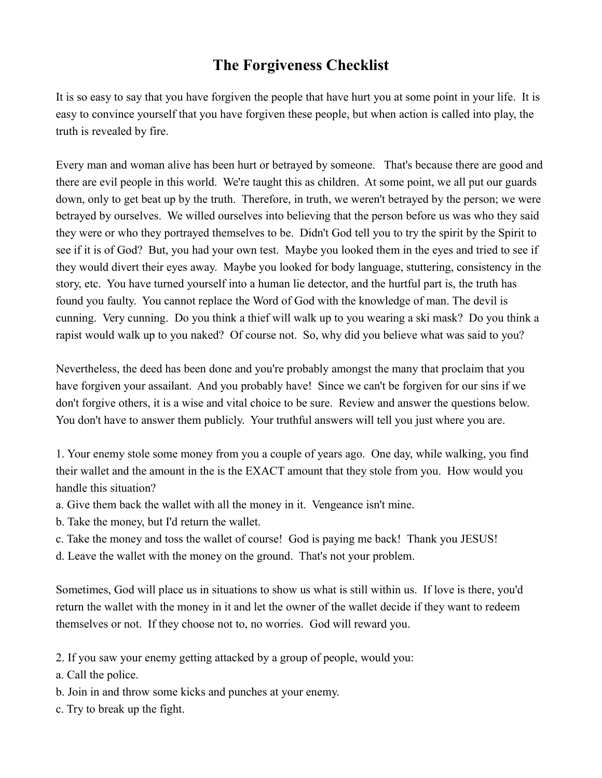## **The Forgiveness Checklist**

It is so easy to say that you have forgiven the people that have hurt you at some point in your life. It is easy to convince yourself that you have forgiven these people, but when action is called into play, the truth is revealed by fire.

Every man and woman alive has been hurt or betrayed by someone. That's because there are good and there are evil people in this world. We're taught this as children. At some point, we all put our guards down, only to get beat up by the truth. Therefore, in truth, we weren't betrayed by the person; we were betrayed by ourselves. We willed ourselves into believing that the person before us was who they said they were or who they portrayed themselves to be. Didn't God tell you to try the spirit by the Spirit to see if it is of God? But, you had your own test. Maybe you looked them in the eyes and tried to see if they would divert their eyes away. Maybe you looked for body language, stuttering, consistency in the story, etc. You have turned yourself into a human lie detector, and the hurtful part is, the truth has found you faulty. You cannot replace the Word of God with the knowledge of man. The devil is cunning. Very cunning. Do you think a thief will walk up to you wearing a ski mask? Do you think a rapist would walk up to you naked? Of course not. So, why did you believe what was said to you?

Nevertheless, the deed has been done and you're probably amongst the many that proclaim that you have forgiven your assailant. And you probably have! Since we can't be forgiven for our sins if we don't forgive others, it is a wise and vital choice to be sure. Review and answer the questions below. You don't have to answer them publicly. Your truthful answers will tell you just where you are.

1. Your enemy stole some money from you a couple of years ago. One day, while walking, you find their wallet and the amount in the is the EXACT amount that they stole from you. How would you handle this situation?

- a. Give them back the wallet with all the money in it. Vengeance isn't mine.
- b. Take the money, but I'd return the wallet.
- c. Take the money and toss the wallet of course! God is paying me back! Thank you JESUS!
- d. Leave the wallet with the money on the ground. That's not your problem.

Sometimes, God will place us in situations to show us what is still within us. If love is there, you'd return the wallet with the money in it and let the owner of the wallet decide if they want to redeem themselves or not. If they choose not to, no worries. God will reward you.

2. If you saw your enemy getting attacked by a group of people, would you:

- a. Call the police.
- b. Join in and throw some kicks and punches at your enemy.
- c. Try to break up the fight.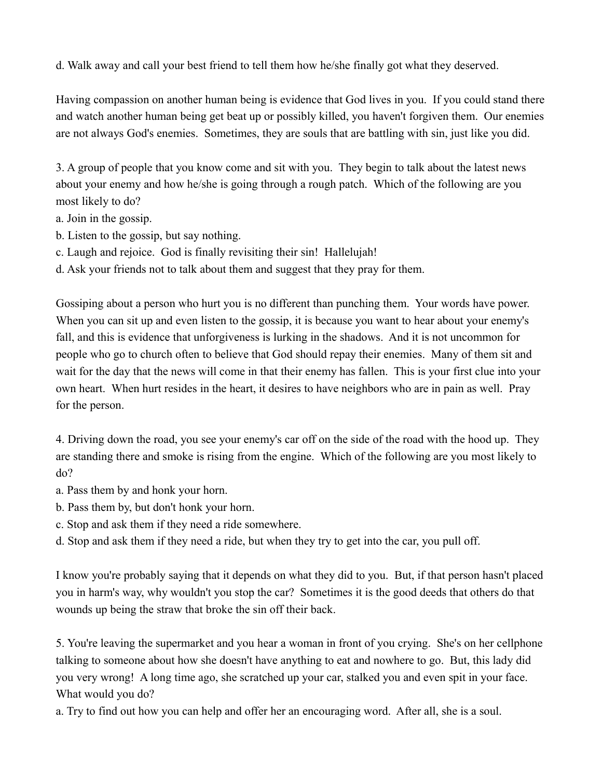d. Walk away and call your best friend to tell them how he/she finally got what they deserved.

Having compassion on another human being is evidence that God lives in you. If you could stand there and watch another human being get beat up or possibly killed, you haven't forgiven them. Our enemies are not always God's enemies. Sometimes, they are souls that are battling with sin, just like you did.

3. A group of people that you know come and sit with you. They begin to talk about the latest news about your enemy and how he/she is going through a rough patch. Which of the following are you most likely to do?

a. Join in the gossip.

b. Listen to the gossip, but say nothing.

c. Laugh and rejoice. God is finally revisiting their sin! Hallelujah!

d. Ask your friends not to talk about them and suggest that they pray for them.

Gossiping about a person who hurt you is no different than punching them. Your words have power. When you can sit up and even listen to the gossip, it is because you want to hear about your enemy's fall, and this is evidence that unforgiveness is lurking in the shadows. And it is not uncommon for people who go to church often to believe that God should repay their enemies. Many of them sit and wait for the day that the news will come in that their enemy has fallen. This is your first clue into your own heart. When hurt resides in the heart, it desires to have neighbors who are in pain as well. Pray for the person.

4. Driving down the road, you see your enemy's car off on the side of the road with the hood up. They are standing there and smoke is rising from the engine. Which of the following are you most likely to do?

a. Pass them by and honk your horn.

- b. Pass them by, but don't honk your horn.
- c. Stop and ask them if they need a ride somewhere.

d. Stop and ask them if they need a ride, but when they try to get into the car, you pull off.

I know you're probably saying that it depends on what they did to you. But, if that person hasn't placed you in harm's way, why wouldn't you stop the car? Sometimes it is the good deeds that others do that wounds up being the straw that broke the sin off their back.

5. You're leaving the supermarket and you hear a woman in front of you crying. She's on her cellphone talking to someone about how she doesn't have anything to eat and nowhere to go. But, this lady did you very wrong! A long time ago, she scratched up your car, stalked you and even spit in your face. What would you do?

a. Try to find out how you can help and offer her an encouraging word. After all, she is a soul.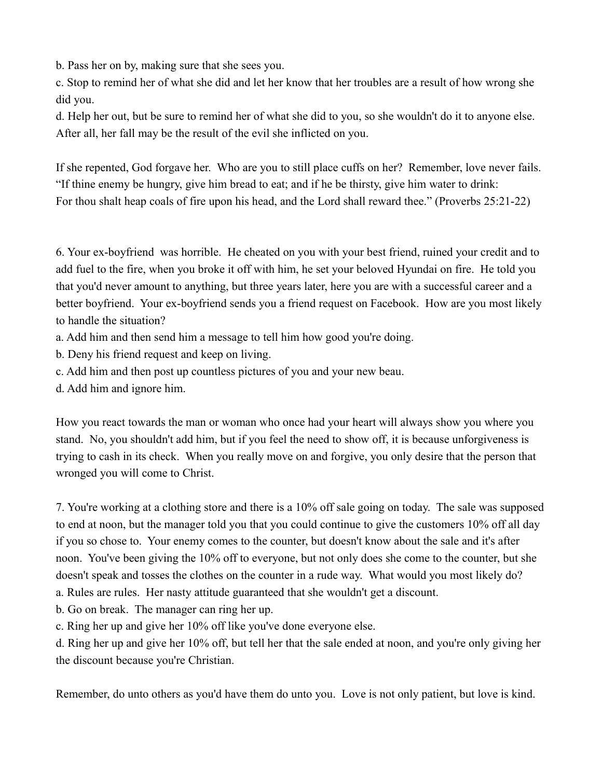b. Pass her on by, making sure that she sees you.

c. Stop to remind her of what she did and let her know that her troubles are a result of how wrong she did you.

d. Help her out, but be sure to remind her of what she did to you, so she wouldn't do it to anyone else. After all, her fall may be the result of the evil she inflicted on you.

If she repented, God forgave her. Who are you to still place cuffs on her? Remember, love never fails. "If thine enemy be hungry, give him bread to eat; and if he be thirsty, give him water to drink: For thou shalt heap coals of fire upon his head, and the Lord shall reward thee." (Proverbs 25:21-22)

6. Your ex-boyfriend was horrible. He cheated on you with your best friend, ruined your credit and to add fuel to the fire, when you broke it off with him, he set your beloved Hyundai on fire. He told you that you'd never amount to anything, but three years later, here you are with a successful career and a better boyfriend. Your ex-boyfriend sends you a friend request on Facebook. How are you most likely to handle the situation?

a. Add him and then send him a message to tell him how good you're doing.

b. Deny his friend request and keep on living.

c. Add him and then post up countless pictures of you and your new beau.

d. Add him and ignore him.

How you react towards the man or woman who once had your heart will always show you where you stand. No, you shouldn't add him, but if you feel the need to show off, it is because unforgiveness is trying to cash in its check. When you really move on and forgive, you only desire that the person that wronged you will come to Christ.

7. You're working at a clothing store and there is a 10% off sale going on today. The sale was supposed to end at noon, but the manager told you that you could continue to give the customers 10% off all day if you so chose to. Your enemy comes to the counter, but doesn't know about the sale and it's after noon. You've been giving the 10% off to everyone, but not only does she come to the counter, but she doesn't speak and tosses the clothes on the counter in a rude way. What would you most likely do?

a. Rules are rules. Her nasty attitude guaranteed that she wouldn't get a discount.

b. Go on break. The manager can ring her up.

c. Ring her up and give her 10% off like you've done everyone else.

d. Ring her up and give her 10% off, but tell her that the sale ended at noon, and you're only giving her the discount because you're Christian.

Remember, do unto others as you'd have them do unto you. Love is not only patient, but love is kind.